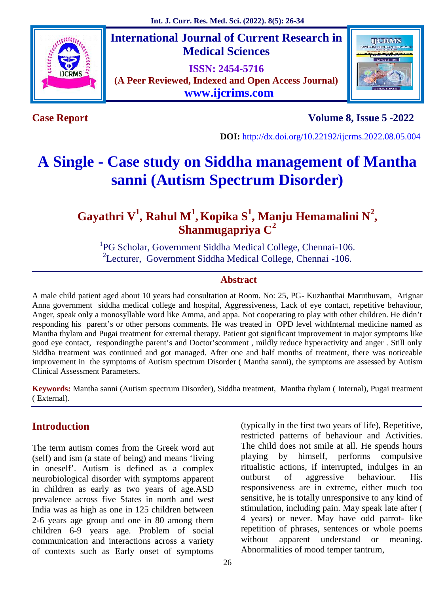

**International Journal of Current Research in Medical Sciences**

**ISSN: 2454-5716 (A Peer Reviewed, Indexed and Open Access Journal) www.ijcrims.com**



**Case Report Volume 8, Issue 5 -2022**

**DOI:** http://dx.doi.org/10.22192/ijcrms.2022.08.05.004

# **A Single - Case study on Siddha management of Mantha sanni (Autism Spectrum Disorder)**

# **Gayathri V<sup>1</sup> , Rahul M<sup>1</sup> , Kopika S<sup>1</sup> , Manju Hemamalini N<sup>2</sup> , Shanmugapriya C<sup>2</sup>**

<sup>1</sup>PG Scholar, Government Siddha Medical College, Chennai-106. <sup>2</sup>Lecturer, Government Siddha Medical College, Chennai -106.

#### **Abstract**

A male child patient aged about 10 years had consultation at Room. No: 25, PG- Kuzhanthai Maruthuvam, Arignar Anna government siddha medical college and hospital, Aggressiveness, Lack of eye contact, repetitive behaviour, Anger, speak only a monosyllable word like Amma, and appa. Not cooperating to play with other children. He didn't responding his parent's or other persons comments. He was treated in OPD level withInternal medicine named as Mantha thylam and Pugai treatment for external therapy. Patient got significant improvement in major symptoms like good eye contact, respondingthe parent's and Doctor'scomment , mildly reduce hyperactivity and anger . Still only Siddha treatment was continued and got managed. After one and half months of treatment, there was noticeable improvement in the symptoms of Autism spectrum Disorder ( Mantha sanni), the symptoms are assessed by Autism Clinical Assessment Parameters.

**Keywords:** Mantha sanni (Autism spectrum Disorder), Siddha treatment, Mantha thylam ( Internal), Pugai treatment ( External).

# **Introduction**

The term autism comes from the Greek word aut (self) and ism (a state of being) and means 'living in oneself'. Autism is defined as a complex ritualistic<br>neurobiological disorder with symptoms apparent outburst neurobiological disorder with symptoms apparent in children as early as two years of age.ASD prevalence across five States in north and west India was as high as one in 125 children between 2-6 years age group and one in 80 among them children 6-9 years age. Problem of social communication and interactions across a variety of contexts such as Early onset of symptoms

(typically in the first two years of life), Repetitive, restricted patterns of behaviour and Activities. The child does not smile at all. He spends hours by himself, performs compulsive ritualistic actions, if interrupted, indulges in an of aggressive behaviour. His responsiveness are in extreme, either much too sensitive, he is totally unresponsive to any kind of stimulation, including pain. May speak late after ( 4 years) or never. May have odd parrot- like repetition of phrases, sentences or whole poems apparent understand or meaning. Abnormalities of mood temper tantrum,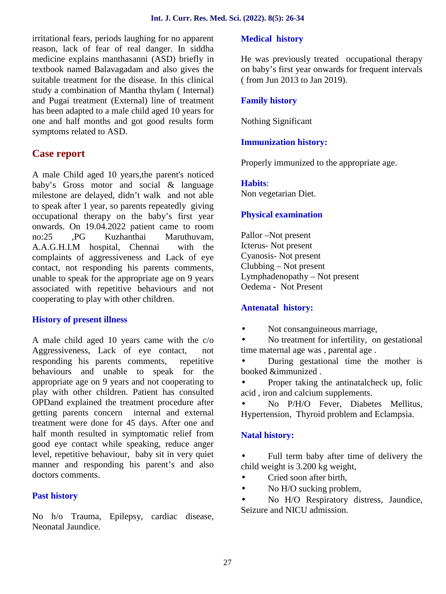irritational fears, periods laughing for no apparent reason, lack of fear of real danger. In siddha medicine explains manthasanni (ASD) briefly in textbook named Balavagadam and also gives the suitable treatment for the disease. In this clinical study a combination of Mantha thylam ( Internal) and Pugai treatment (External) line of treatment has been adapted to a male child aged 10 years for one and half months and got good results form symptoms related to ASD.

# **Case report**

A male Child aged 10 years,the parent's noticed baby's Gross motor and social & language milestone are delayed, didn't walk and not able to speak after 1 year, so parents repeatedly giving occupational therapy on the baby's first year onwards. On 19.04.2022 patient came to room no:25 ,PG Kuzhanthai Maruthuvam, A.A.G.H.I.M hospital, Chennai with the complaints of aggressiveness and Lack of eye contact, not responding his parents comments, unable to speak for the appropriate age on 9 years associated with repetitive behaviours and not cooperating to play with other children.

#### **History of present illness**

A male child aged 10 years came with the  $c/\sigma$   $\qquad$  ) Aggressiveness, Lack of eye contact, not responding his parents comments, repetitive behaviours and unable to speak for the appropriate age on 9 years and not cooperating to play with other children. Patient has consulted OPDand explained the treatment procedure after getting parents concern internal and external treatment were done for 45 days. After one and half month resulted in symptomatic relief from good eye contact while speaking, reduce anger level, repetitive behaviour, baby sit in very quiet manner and responding his parent's and also doctors comments.

#### **Past history**

No h/o Trauma, Epilepsy, cardiac disease, Neonatal Jaundice.

#### **Medical history**

He was previously treated occupational therapy on baby's first year onwards for frequent intervals ( from Jun 2013 to Jan 2019).

#### **Family history**

Nothing Significant

## **Immunization history:**

Properly immunized to the appropriate age.

#### **Habits**:

Non vegetarian Diet.

#### **Physical examination**

Pallor –Not present Icterus- Not present Cyanosis- Not present Clubbing – Not present Lymphadenopathy – Not present Oedema - Not Present

#### **Antenatal history:**

Not consanguineous marriage,

 No treatment for infertility, on gestational time maternal age was , parental age .

 During gestational time the mother is booked &immunized .

 Proper taking the antinatalcheck up, folic acid , iron and calcium supplements.

 No P/H/O Fever, Diabetes Mellitus, Hypertension, Thyroid problem and Eclampsia.

#### **Natal history:**

 Full term baby after time of delivery the child weight is 3.200 kg weight,

Cried soon after birth,

No H/O sucking problem,

 No H/O Respiratory distress, Jaundice, Seizure and NICU admission.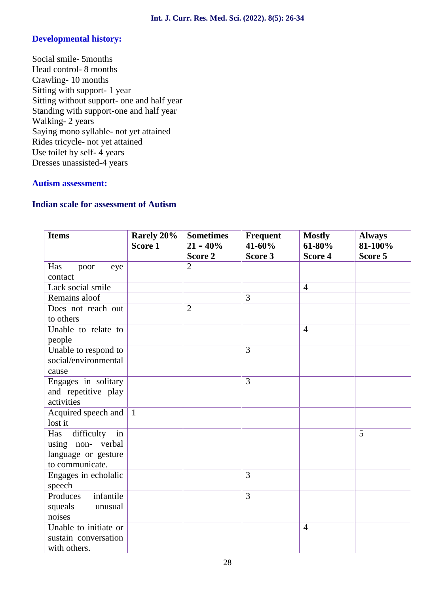#### **Developmental history:**

Social smile- 5months Head control- 8 months Crawling- 10 months Sitting with support- 1 year Sitting without support- one and half year Standing with support-one and half year Walking- 2 years Saying mono syllable- not yet attained Rides tricycle- not yet attained Use toilet by self- 4 years Dresses unassisted-4 years

#### **Autism assessment:**

#### **Indian scale for assessment of Autism**

| <b>Items</b>                  | Rarely 20%<br>Score 1 | <b>Sometimes</b><br>$21 - 40%$ | Frequent<br>41-60% | <b>Mostly</b><br>61-80% | <b>Always</b><br>81-100% |
|-------------------------------|-----------------------|--------------------------------|--------------------|-------------------------|--------------------------|
|                               |                       | Score 2                        | Score 3            | Score 4                 | Score 5                  |
| Has<br>poor<br>eye            |                       | $\overline{2}$                 |                    |                         |                          |
| contact                       |                       |                                |                    |                         |                          |
| Lack social smile             |                       |                                |                    | $\overline{4}$          |                          |
| Remains aloof                 |                       |                                | 3                  |                         |                          |
| Does not reach out            |                       | $\overline{2}$                 |                    |                         |                          |
| to others                     |                       |                                |                    |                         |                          |
| Unable to relate to<br>people |                       |                                |                    | $\overline{4}$          |                          |
| Unable to respond to          |                       |                                | 3                  |                         |                          |
| social/environmental          |                       |                                |                    |                         |                          |
| cause                         |                       |                                |                    |                         |                          |
| Engages in solitary           |                       |                                | 3                  |                         |                          |
| and repetitive play           |                       |                                |                    |                         |                          |
| activities                    |                       |                                |                    |                         |                          |
| Acquired speech and           | $\overline{1}$        |                                |                    |                         |                          |
| lost it                       |                       |                                |                    |                         |                          |
| difficulty<br>in<br>Has       |                       |                                |                    |                         | 5                        |
| using non- verbal             |                       |                                |                    |                         |                          |
| language or gesture           |                       |                                |                    |                         |                          |
| to communicate.               |                       |                                |                    |                         |                          |
| Engages in echolalic          |                       |                                | 3                  |                         |                          |
| speech                        |                       |                                |                    |                         |                          |
| Produces<br>infantile         |                       |                                | 3                  |                         |                          |
| squeals<br>unusual            |                       |                                |                    |                         |                          |
| noises                        |                       |                                |                    |                         |                          |
| Unable to initiate or         |                       |                                |                    | $\overline{4}$          |                          |
| sustain conversation          |                       |                                |                    |                         |                          |
| with others.                  |                       |                                |                    |                         |                          |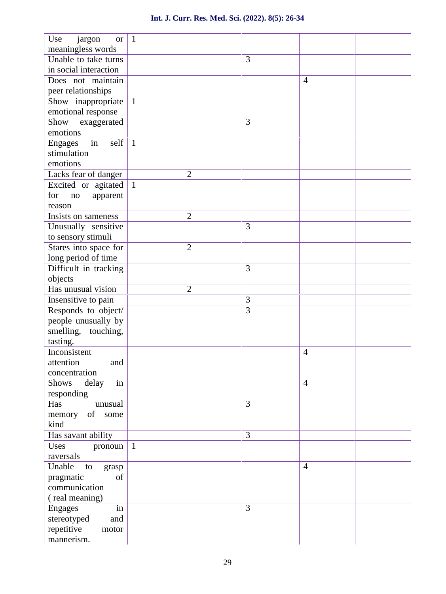| Use<br>jargon<br><b>or</b>   | $\mathbf{1}$ |                |                |                |  |
|------------------------------|--------------|----------------|----------------|----------------|--|
| meaningless words            |              |                |                |                |  |
| Unable to take turns         |              |                | 3              |                |  |
| in social interaction        |              |                |                |                |  |
| Does not maintain            |              |                |                | $\overline{4}$ |  |
| peer relationships           |              |                |                |                |  |
| Show inappropriate           | $\mathbf{1}$ |                |                |                |  |
| emotional response           |              |                |                |                |  |
| Show exaggerated             |              |                | 3              |                |  |
| emotions                     |              |                |                |                |  |
| in<br>self<br><b>Engages</b> | $\mathbf{1}$ |                |                |                |  |
| stimulation                  |              |                |                |                |  |
| emotions                     |              |                |                |                |  |
| Lacks fear of danger         |              | $\overline{2}$ |                |                |  |
| Excited or agitated          | $\mathbf{1}$ |                |                |                |  |
| for<br>no<br>apparent        |              |                |                |                |  |
| reason                       |              |                |                |                |  |
| Insists on sameness          |              | $\overline{2}$ |                |                |  |
| Unusually sensitive          |              |                | 3              |                |  |
| to sensory stimuli           |              |                |                |                |  |
| Stares into space for        |              | $\overline{2}$ |                |                |  |
| long period of time          |              |                |                |                |  |
| Difficult in tracking        |              |                | 3              |                |  |
| objects                      |              |                |                |                |  |
| Has unusual vision           |              | $\overline{2}$ |                |                |  |
| Insensitive to pain          |              |                | 3              |                |  |
| Responds to object/          |              |                | 3              |                |  |
| people unusually by          |              |                |                |                |  |
| smelling, touching,          |              |                |                |                |  |
| tasting.                     |              |                |                |                |  |
| Inconsistent                 |              |                |                | $\overline{4}$ |  |
| attention<br>and             |              |                |                |                |  |
| concentration                |              |                |                |                |  |
| in<br><b>Shows</b><br>delay  |              |                |                | $\overline{4}$ |  |
| responding                   |              |                |                |                |  |
| Has<br>unusual               |              |                | $\overline{3}$ |                |  |
| memory<br>of some            |              |                |                |                |  |
| kind                         |              |                |                |                |  |
| Has savant ability           |              |                | 3              |                |  |
| Uses<br>pronoun              | $\mathbf{1}$ |                |                |                |  |
| raversals                    |              |                |                |                |  |
| Unable<br>to<br>grasp        |              |                |                | $\overline{4}$ |  |
| pragmatic<br>of              |              |                |                |                |  |
| communication                |              |                |                |                |  |
| (real meaning)               |              |                |                |                |  |
| <b>Engages</b><br>in         |              |                | 3              |                |  |
| stereotyped<br>and           |              |                |                |                |  |
| repetitive<br>motor          |              |                |                |                |  |
| mannerism.                   |              |                |                |                |  |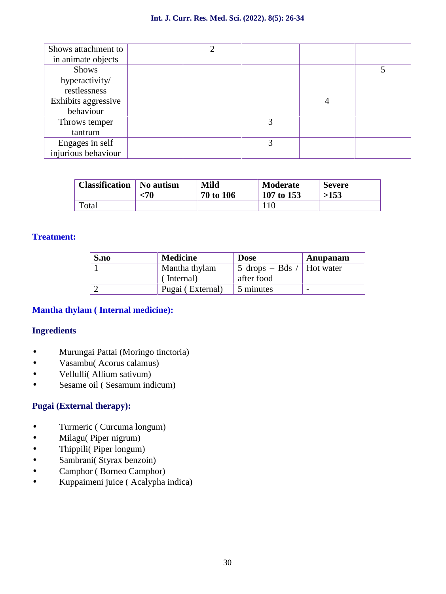| Shows attachment to<br>in animate objects | ◠ |   |   |  |
|-------------------------------------------|---|---|---|--|
| <b>Shows</b>                              |   |   |   |  |
| hyperactivity/                            |   |   |   |  |
| restlessness                              |   |   |   |  |
| Exhibits aggressive                       |   |   | 4 |  |
| behaviour                                 |   |   |   |  |
| Throws temper                             |   | 3 |   |  |
| tantrum                                   |   |   |   |  |
| Engages in self                           |   | 3 |   |  |
| injurious behaviour                       |   |   |   |  |

| <b>Classification</b> | No autism | <b>Mild</b> | <b>Moderate</b> | <b>Severe</b> |
|-----------------------|-----------|-------------|-----------------|---------------|
|                       | <70       | 70 to 106   | 107 to 153      | >153          |
| Total                 |           |             |                 |               |

#### **Treatment:**

| S.no | <b>Medicine</b>  | <b>Dose</b>               | Anupanam       |
|------|------------------|---------------------------|----------------|
|      | Mantha thylam    | 5 drops – Bds / Hot water |                |
|      | (Internal)       | after food                |                |
|      | Pugai (External) | 5 minutes                 | $\blacksquare$ |

## **Mantha thylam ( Internal medicine):**

#### **Ingredients**

- ) Murungai Pattai (Moringo tinctoria)<br>
) Vasambu( Acorus calamus)<br>
) Vellulli( Allium sativum)
- Vasambu( Acorus calamus)
- (*Vellulli* (Allium sativum)<br>(*Sesame oil* (*Sesamum ind*
- Sesame oil ( Sesamum indicum)

#### **Pugai (External therapy):**

- Turmeric ( Curcuma longum)
- 
- Thippili( Piper longum)
- Sambrani( Styrax benzoin)
- (*Milagu*( Piper nigrum)<br>
(*Thippili* ( Piper longum<br>
(*Sambrani* ( Styrax benze<br>
(*Camphor* ( Borneo Can<br>
(*Kuppaimeni juice* ( Aca Camphor ( Borneo Camphor)
- Kuppaimeni juice ( Acalypha indica)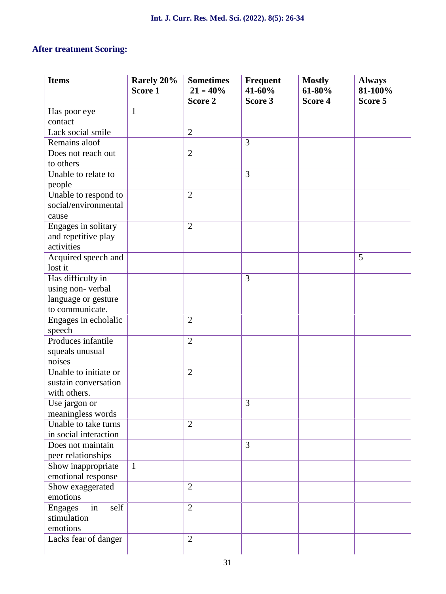## **After treatment Scoring:**

| <b>Items</b>          | Rarely 20%<br>Score 1 | <b>Sometimes</b><br>$21 - 40\%$ | Frequent<br>41-60% | <b>Mostly</b><br>61-80% | <b>Always</b><br>81-100% |
|-----------------------|-----------------------|---------------------------------|--------------------|-------------------------|--------------------------|
|                       |                       | Score 2                         | Score 3            | Score 4                 | Score 5                  |
| Has poor eye          | $\mathbf{1}$          |                                 |                    |                         |                          |
| contact               |                       |                                 |                    |                         |                          |
| Lack social smile     |                       | $\overline{2}$                  |                    |                         |                          |
| Remains aloof         |                       |                                 | 3                  |                         |                          |
| Does not reach out    |                       | $\overline{2}$                  |                    |                         |                          |
| to others             |                       |                                 |                    |                         |                          |
| Unable to relate to   |                       |                                 | 3                  |                         |                          |
| people                |                       |                                 |                    |                         |                          |
| Unable to respond to  |                       | $\overline{2}$                  |                    |                         |                          |
| social/environmental  |                       |                                 |                    |                         |                          |
| cause                 |                       |                                 |                    |                         |                          |
| Engages in solitary   |                       | $\overline{2}$                  |                    |                         |                          |
| and repetitive play   |                       |                                 |                    |                         |                          |
| activities            |                       |                                 |                    |                         |                          |
| Acquired speech and   |                       |                                 |                    |                         | 5                        |
| lost it               |                       |                                 |                    |                         |                          |
| Has difficulty in     |                       |                                 | 3                  |                         |                          |
| using non-verbal      |                       |                                 |                    |                         |                          |
| language or gesture   |                       |                                 |                    |                         |                          |
| to communicate.       |                       |                                 |                    |                         |                          |
| Engages in echolalic  |                       | $\overline{2}$                  |                    |                         |                          |
| speech                |                       |                                 |                    |                         |                          |
| Produces infantile    |                       | $\overline{2}$                  |                    |                         |                          |
| squeals unusual       |                       |                                 |                    |                         |                          |
| noises                |                       |                                 |                    |                         |                          |
| Unable to initiate or |                       | $\overline{2}$                  |                    |                         |                          |
| sustain conversation  |                       |                                 |                    |                         |                          |
| with others.          |                       |                                 |                    |                         |                          |
| Use jargon or         |                       |                                 | 3                  |                         |                          |
| meaningless words     |                       |                                 |                    |                         |                          |
| Unable to take turns  |                       | $\overline{2}$                  |                    |                         |                          |
| in social interaction |                       |                                 |                    |                         |                          |
| Does not maintain     |                       |                                 | $\overline{3}$     |                         |                          |
| peer relationships    |                       |                                 |                    |                         |                          |
| Show inappropriate    | $\mathbf{1}$          |                                 |                    |                         |                          |
| emotional response    |                       |                                 |                    |                         |                          |
| Show exaggerated      |                       | $\overline{2}$                  |                    |                         |                          |
| emotions              |                       |                                 |                    |                         |                          |
| in<br>Engages<br>self |                       | $\overline{2}$                  |                    |                         |                          |
| stimulation           |                       |                                 |                    |                         |                          |
| emotions              |                       |                                 |                    |                         |                          |
| Lacks fear of danger  |                       | $\overline{2}$                  |                    |                         |                          |
|                       |                       |                                 |                    |                         |                          |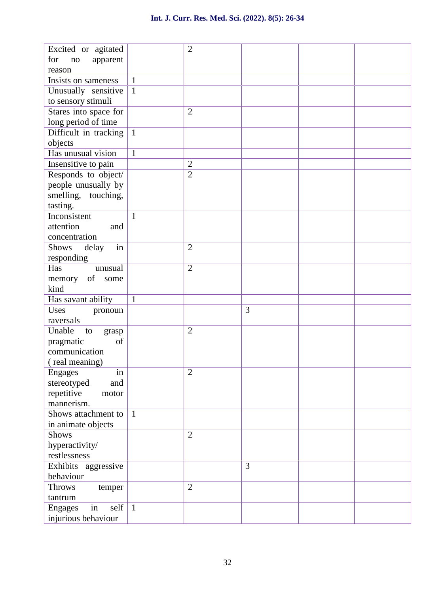| Excited or agitated          |              | $\overline{2}$ |   |  |
|------------------------------|--------------|----------------|---|--|
| for<br>$\rm no$<br>apparent  |              |                |   |  |
| reason                       |              |                |   |  |
| Insists on sameness          | $\mathbf{1}$ |                |   |  |
| Unusually sensitive          | $\mathbf{1}$ |                |   |  |
| to sensory stimuli           |              |                |   |  |
| Stares into space for        |              | $\overline{2}$ |   |  |
| long period of time          |              |                |   |  |
| Difficult in tracking        | $\mathbf{1}$ |                |   |  |
| objects                      |              |                |   |  |
| Has unusual vision           | $\mathbf{1}$ |                |   |  |
| Insensitive to pain          |              | $\overline{2}$ |   |  |
| Responds to object/          |              | $\overline{2}$ |   |  |
| people unusually by          |              |                |   |  |
| smelling, touching,          |              |                |   |  |
| tasting.                     |              |                |   |  |
| Inconsistent                 | $\mathbf{1}$ |                |   |  |
| attention<br>and             |              |                |   |  |
| concentration                |              |                |   |  |
| Shows<br>delay<br>in         |              | $\overline{2}$ |   |  |
| responding                   |              |                |   |  |
| Has<br>unusual               |              | $\overline{2}$ |   |  |
| of some<br>memory            |              |                |   |  |
| kind                         |              |                |   |  |
| Has savant ability           | $\mathbf{1}$ |                |   |  |
| Uses<br>pronoun              |              |                | 3 |  |
| raversals                    |              |                |   |  |
| Unable<br>to<br>grasp        |              | $\overline{2}$ |   |  |
| pragmatic<br>of              |              |                |   |  |
| communication                |              |                |   |  |
| (real meaning)               |              |                |   |  |
| <b>Engages</b><br>in         |              | $\overline{2}$ |   |  |
| stereotyped<br>and           |              |                |   |  |
| repetitive<br>motor          |              |                |   |  |
| mannerism.                   |              |                |   |  |
| Shows attachment to          | $\mathbf{1}$ |                |   |  |
| in animate objects           |              |                |   |  |
| <b>Shows</b>                 |              | $\overline{2}$ |   |  |
| hyperactivity/               |              |                |   |  |
| restlessness                 |              |                |   |  |
| Exhibits aggressive          |              |                | 3 |  |
| behaviour                    |              |                |   |  |
| <b>Throws</b><br>temper      |              | $\overline{2}$ |   |  |
| tantrum                      |              |                |   |  |
| self<br><b>Engages</b><br>in | $\mathbf{1}$ |                |   |  |
| injurious behaviour          |              |                |   |  |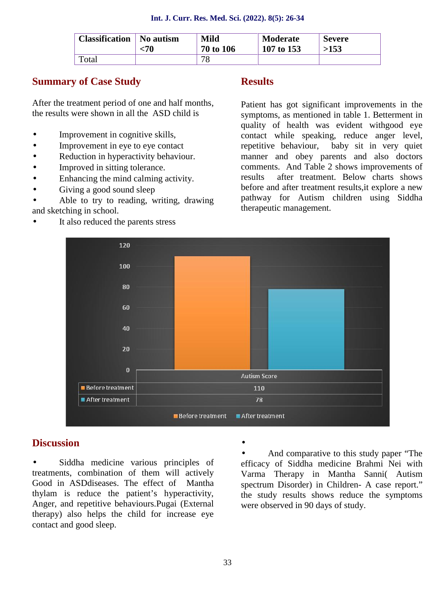| <b>Classification</b> | No autism | <b>Mild</b> | <b>Moderate</b> | <b>Severe</b> |
|-----------------------|-----------|-------------|-----------------|---------------|
|                       | :70       | 70 to 106   | 107 to 153      | >153          |
| Total                 |           | 70          |                 |               |

## **Summary of Case Study**

After the treatment period of one and half months, the results were shown in all the ASD child is

- Improvement in cognitive skills,
- Improvement in eye to eye contact
- Reduction in hyperactivity behaviour.
- Improved in sitting tolerance.
	- Enhancing the mind calming activity.
		- Giving a good sound sleep

 Able to try to reading, writing, drawing and sketching in school.

It also reduced the parents stress

#### **Results**

Patient has got significant improvements in the symptoms, as mentioned in table 1. Betterment in quality of health was evident withgood eye contact while speaking, reduce anger level, repetitive behaviour, baby sit in very quiet manner and obey parents and also doctors comments. And Table 2 shows improvements of results after treatment. Below charts shows before and after treatment results,it explore a new pathway for Autism children using Siddha therapeutic management.



#### **Discussion**

 Siddha medicine various principles of treatments, combination of them will actively Good in ASDdiseases. The effect of Mantha thylam is reduce the patient's hyperactivity, Anger, and repetitive behaviours.Pugai (External therapy) also helps the child for increase eye contact and good sleep.

 $\int$  And comparative to this study paper "The efficacy of Siddha medicine Brahmi Nei with Varma Therapy in Mantha Sanni( Autism spectrum Disorder) in Children- A case report." the study results shows reduce the symptoms were observed in 90 days of study.